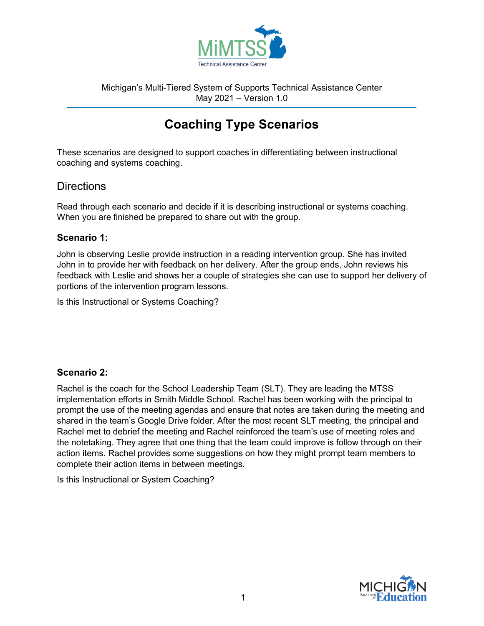

Michigan's Multi-Tiered System of Supports Technical Assistance Center May 2021 – Version 1.0

# **Coaching Type Scenarios**

These scenarios are designed to support coaches in differentiating between instructional coaching and systems coaching.

## **Directions**

Read through each scenario and decide if it is describing instructional or systems coaching. When you are finished be prepared to share out with the group.

#### **Scenario 1:**

John is observing Leslie provide instruction in a reading intervention group. She has invited John in to provide her with feedback on her delivery. After the group ends, John reviews his feedback with Leslie and shows her a couple of strategies she can use to support her delivery of portions of the intervention program lessons.

Is this Instructional or Systems Coaching?

### **Scenario 2:**

Rachel is the coach for the School Leadership Team (SLT). They are leading the MTSS implementation efforts in Smith Middle School. Rachel has been working with the principal to prompt the use of the meeting agendas and ensure that notes are taken during the meeting and shared in the team's Google Drive folder. After the most recent SLT meeting, the principal and Rachel met to debrief the meeting and Rachel reinforced the team's use of meeting roles and the notetaking. They agree that one thing that the team could improve is follow through on their action items. Rachel provides some suggestions on how they might prompt team members to complete their action items in between meetings.

Is this Instructional or System Coaching?